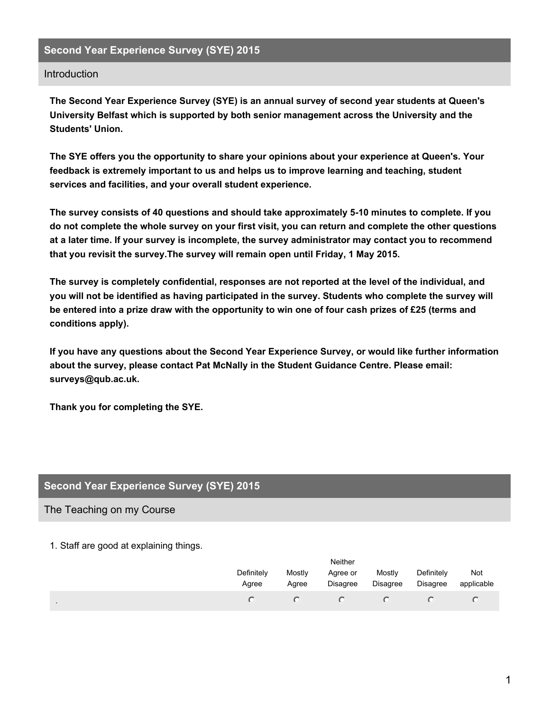## **Second Year Experience Survey (SYE) 2015**

#### Introduction

**The Second Year Experience Survey (SYE) is an annual survey of second year students at Queen's University Belfast which is supported by both senior management across the University and the Students' Union.**

**The SYE offers you the opportunity to share your opinions about your experience at Queen's. Your feedback is extremely important to us and helps us to improve learning and teaching, student services and facilities, and your overall student experience.**

**The survey consists of 40 questions and should take approximately 5-10 minutes to complete. If you** do not complete the whole survey on your first visit, you can return and complete the other questions **at a later time. If your survey is incomplete, the survey administrator may contact you to recommend that you revisit the survey.The survey will remain open until Friday, 1 May 2015.**

**The survey is completely confidential, responses are not reported at the level of the individual, and you will not be identified as having participated in the survey. Students who complete the survey will** be entered into a prize draw with the opportunity to win one of four cash prizes of £25 (terms and **conditions apply).**

**If you have any questions about the Second Year Experience Survey, or would like further information about the survey, please contact Pat McNally in the Student Guidance Centre. Please email: surveys@qub.ac.uk.**

**Thank you for completing the SYE.**

## **Second Year Experience Survey (SYE) 2015**

#### The Teaching on my Course

1. Staff are good at explaining things.

|                | Neither             |                 |                             |                    |                               |                   |  |
|----------------|---------------------|-----------------|-----------------------------|--------------------|-------------------------------|-------------------|--|
|                | Definitely<br>Agree | Mostly<br>Agree | Agree or<br><b>Disagree</b> | Mostly<br>Disagree | Definitely<br><b>Disagree</b> | Not<br>applicable |  |
| $\blacksquare$ |                     |                 |                             |                    |                               |                   |  |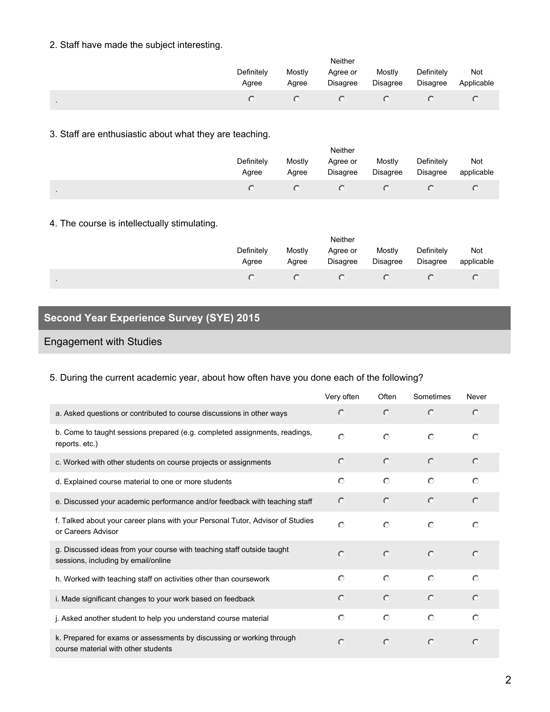## 2. Staff have made the subject interesting.

|                | Neither             |                 |                      |                           |                        |                   |  |
|----------------|---------------------|-----------------|----------------------|---------------------------|------------------------|-------------------|--|
|                | Definitely<br>Agree | Mostly<br>Agree | Agree or<br>Disagree | Mostly<br><b>Disagree</b> | Definitely<br>Disagree | Not<br>Applicable |  |
| $\blacksquare$ |                     |                 |                      |                           |                        |                   |  |

## 3. Staff are enthusiastic about what they are teaching.

|                | <b>Neither</b>      |                 |                      |                    |                               |                   |  |  |
|----------------|---------------------|-----------------|----------------------|--------------------|-------------------------------|-------------------|--|--|
|                | Definitely<br>Agree | Mostly<br>Agree | Agree or<br>Disagree | Mostly<br>Disagree | Definitely<br><b>Disagree</b> | Not<br>applicable |  |  |
| $\blacksquare$ |                     |                 |                      |                    |                               |                   |  |  |

## 4. The course is intellectually stimulating.

| Neither             |                 |                      |                    |                               |                   |  |  |
|---------------------|-----------------|----------------------|--------------------|-------------------------------|-------------------|--|--|
| Definitely<br>Agree | Mostly<br>Agree | Agree or<br>Disagree | Mostly<br>Disagree | Definitely<br><b>Disagree</b> | Not<br>applicable |  |  |
|                     |                 |                      |                    |                               |                   |  |  |

# **Second Year Experience Survey (SYE) 2015**

## Engagement with Studies

.

## 5. During the current academic year, about how often have you done each of the following?

|                                                                                                               | Very often | Often      | Sometimes  | Never      |
|---------------------------------------------------------------------------------------------------------------|------------|------------|------------|------------|
| a. Asked questions or contributed to course discussions in other ways                                         | $\circ$    | $\circ$    | $\circ$    | $\bigcap$  |
| b. Come to taught sessions prepared (e.g. completed assignments, readings,<br>reports. etc.)                  | $\bigcap$  | $\bigcirc$ | $\bigcirc$ | $\bigcap$  |
| c. Worked with other students on course projects or assignments                                               | $\circ$    | $\circ$    | $\circ$    | $\bigcap$  |
| d. Explained course material to one or more students                                                          | $\circ$    | $\circ$    | $\circ$    | $\circ$    |
| e. Discussed your academic performance and/or feedback with teaching staff                                    | $\circ$    | $\bigcap$  | $\circ$    | $\bigcap$  |
| f. Talked about your career plans with your Personal Tutor, Advisor of Studies<br>or Careers Advisor          | $\circ$    | $\circ$    | $\circ$    | $\circ$    |
| g. Discussed ideas from your course with teaching staff outside taught<br>sessions, including by email/online | $\bigcap$  | $\circ$    | $\circ$    | $\bigcap$  |
| h. Worked with teaching staff on activities other than coursework                                             | $\circ$    | $\bigcirc$ | $\bigcap$  | $\bigcap$  |
| i. Made significant changes to your work based on feedback                                                    | $\circ$    | $\bigcap$  | $\bigcirc$ | $\bigcirc$ |
| j. Asked another student to help you understand course material                                               | $\circ$    | $\circ$    | $\circ$    | $\bigcap$  |
| k. Prepared for exams or assessments by discussing or working through<br>course material with other students  | $\bigcap$  | $\circ$    | $\bigcirc$ | $\subset$  |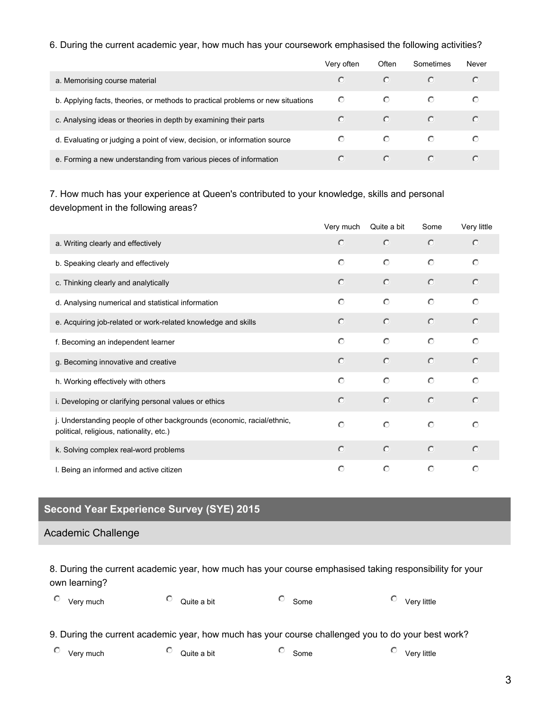#### 6. During the current academic year, how much has your coursework emphasised the following activities?

|                                                                                 | Very often | Often   | Sometimes | Never |
|---------------------------------------------------------------------------------|------------|---------|-----------|-------|
| a. Memorising course material                                                   |            | O       |           |       |
| b. Applying facts, theories, or methods to practical problems or new situations | O          | $\circ$ | $\circ$   |       |
| c. Analysing ideas or theories in depth by examining their parts                |            | $\circ$ | $\circ$   |       |
| d. Evaluating or judging a point of view, decision, or information source       | O          | O       | O         |       |
| e. Forming a new understanding from various pieces of information               |            | O       | $\circ$   |       |

7. How much has your experience at Queen's contributed to your knowledge, skills and personal development in the following areas?

|                                                                                                                    | Very much  | Quite a bit | Some       | Very little |
|--------------------------------------------------------------------------------------------------------------------|------------|-------------|------------|-------------|
| a. Writing clearly and effectively                                                                                 | $\circ$    | $\circ$     | $\circ$    | $\circ$     |
| b. Speaking clearly and effectively                                                                                | $\circ$    | $\circ$     | $\circ$    | $\circ$     |
| c. Thinking clearly and analytically                                                                               | $\bigcirc$ | $\bigcirc$  | $\circ$    | $\circ$     |
| d. Analysing numerical and statistical information                                                                 | $\circ$    | $\circ$     | $\circ$    | $\circ$     |
| e. Acquiring job-related or work-related knowledge and skills                                                      | $\circ$    | $\bigcirc$  | $\circ$    | $\circ$     |
| f. Becoming an independent learner                                                                                 | $\circ$    | $\bigcirc$  | $\bigcap$  | $\bigcap$   |
| g. Becoming innovative and creative                                                                                | $\circ$    | $\circ$     | $\bigcirc$ | $\circ$     |
| h. Working effectively with others                                                                                 | $\circ$    | $\circ$     | $\bigcap$  | $\bigcap$   |
| i. Developing or clarifying personal values or ethics                                                              | $\circ$    | $\circ$     | $\circ$    | $\circ$     |
| j. Understanding people of other backgrounds (economic, racial/ethnic,<br>political, religious, nationality, etc.) | $\circ$    | $\circ$     | $\circ$    | $\circ$     |
| k. Solving complex real-word problems                                                                              | $\circ$    | $\circ$     | $\circ$    | $\circ$     |
| I. Being an informed and active citizen                                                                            | $\circ$    | $\circ$     | $\circ$    | $\circ$     |

# **Second Year Experience Survey (SYE) 2015**

#### Academic Challenge

8. During the current academic year, how much has your course emphasised taking responsibility for your own learning?

| ∪<br>Very much | Quite a bit | Some<br>∼ | Very little |
|----------------|-------------|-----------|-------------|
|                |             |           |             |

9. During the current academic year, how much has your course challenged you to do your best work?

| ∼<br>Verv much<br>Quite a bit | omeد | Very little |
|-------------------------------|------|-------------|
|-------------------------------|------|-------------|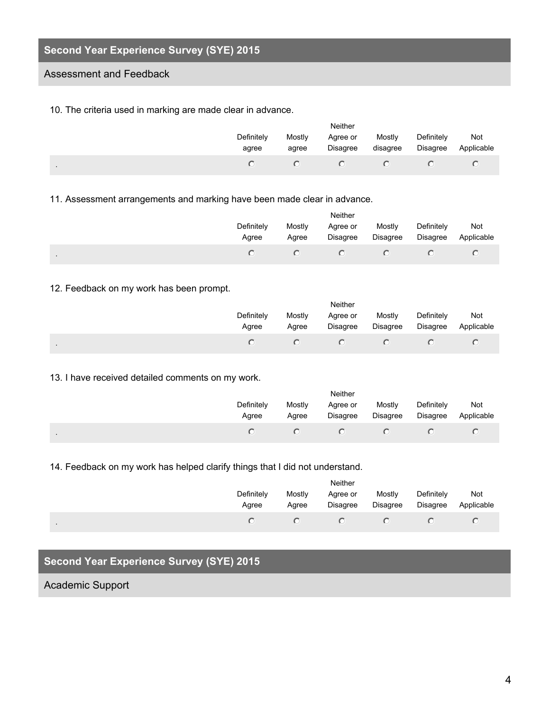# **Second Year Experience Survey (SYE) 2015**

### Assessment and Feedback

10. The criteria used in marking are made clear in advance.

|                | <b>Neither</b>      |                 |                      |                    |                        |                   |  |
|----------------|---------------------|-----------------|----------------------|--------------------|------------------------|-------------------|--|
|                | Definitely<br>agree | Mostly<br>agree | Agree or<br>Disagree | Mostly<br>disagree | Definitely<br>Disagree | Not<br>Applicable |  |
| $\blacksquare$ |                     |                 |                      |                    |                        |                   |  |

11. Assessment arrangements and marking have been made clear in advance.

|        | <b>Neither</b>      |                 |                      |                    |                        |                   |  |
|--------|---------------------|-----------------|----------------------|--------------------|------------------------|-------------------|--|
|        | Definitely<br>Agree | Mostly<br>Agree | Agree or<br>Disagree | Mostly<br>Disagree | Definitely<br>Disagree | Not<br>Applicable |  |
| $\sim$ |                     |                 |                      |                    |                        |                   |  |

### 12. Feedback on my work has been prompt.

|           | Neither             |                 |                      |                    |                               |                   |  |
|-----------|---------------------|-----------------|----------------------|--------------------|-------------------------------|-------------------|--|
|           | Definitely<br>Agree | Mostly<br>Agree | Agree or<br>Disagree | Mostly<br>Disagree | Definitely<br><b>Disagree</b> | Not<br>Applicable |  |
| $\bullet$ |                     |                 |                      |                    |                               |                   |  |

#### 13. I have received detailed comments on my work.

|                | <b>Neither</b>      |                 |                      |                    |                        |                   |  |  |
|----------------|---------------------|-----------------|----------------------|--------------------|------------------------|-------------------|--|--|
|                | Definitely<br>Agree | Mostly<br>Agree | Agree or<br>Disagree | Mostly<br>Disagree | Definitely<br>Disagree | Not<br>Applicable |  |  |
| $\blacksquare$ |                     |                 |                      |                    |                        |                   |  |  |

14. Feedback on my work has helped clarify things that I did not understand.

|                | <b>Neither</b>      |                 |                      |                    |                               |                   |  |  |
|----------------|---------------------|-----------------|----------------------|--------------------|-------------------------------|-------------------|--|--|
|                | Definitely<br>Agree | Mostly<br>Agree | Agree or<br>Disagree | Mostly<br>Disagree | Definitely<br><b>Disagree</b> | Not<br>Applicable |  |  |
| $\blacksquare$ |                     |                 |                      |                    |                               |                   |  |  |

# **Second Year Experience Survey (SYE) 2015**

## Academic Support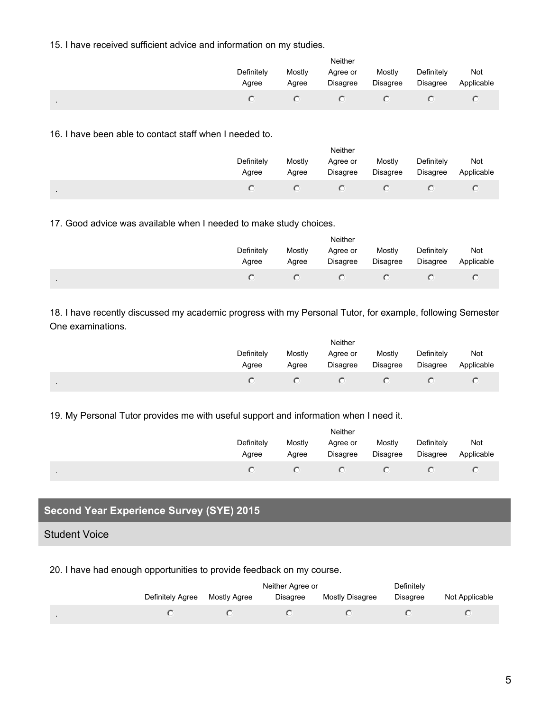15. I have received sufficient advice and information on my studies.

|                     | Neither         |                      |                    |                        |                   |  |  |  |
|---------------------|-----------------|----------------------|--------------------|------------------------|-------------------|--|--|--|
| Definitely<br>Agree | Mostly<br>Agree | Agree or<br>Disagree | Mostly<br>Disagree | Definitely<br>Disagree | Not<br>Applicable |  |  |  |
| $\sim$              |                 |                      |                    |                        |                   |  |  |  |

16. I have been able to contact staff when I needed to.

|           | Neither             |                 |                             |                           |                               |                   |  |  |
|-----------|---------------------|-----------------|-----------------------------|---------------------------|-------------------------------|-------------------|--|--|
|           | Definitely<br>Agree | Mostly<br>Agree | Agree or<br><b>Disagree</b> | Mostly<br><b>Disagree</b> | Definitely<br><b>Disagree</b> | Not<br>Applicable |  |  |
| $\bullet$ |                     |                 |                             |                           |                               |                   |  |  |

17. Good advice was available when I needed to make study choices.

|                | Neither             |                 |                      |                           |                        |                   |  |  |
|----------------|---------------------|-----------------|----------------------|---------------------------|------------------------|-------------------|--|--|
|                | Definitely<br>Agree | Mostly<br>Agree | Agree or<br>Disagree | Mostly<br><b>Disagree</b> | Definitely<br>Disagree | Not<br>Applicable |  |  |
| $\blacksquare$ |                     |                 |                      |                           |                        |                   |  |  |

18. I have recently discussed my academic progress with my Personal Tutor, for example, following Semester One examinations.

|           | Definitely<br>Agree | Mostly<br>Agree | Neither<br>Agree or<br><b>Disagree</b> | Mostly<br><b>Disagree</b> | Definitely<br>Disagree | Not<br>Applicable |
|-----------|---------------------|-----------------|----------------------------------------|---------------------------|------------------------|-------------------|
| $\bullet$ |                     |                 |                                        |                           |                        |                   |

19. My Personal Tutor provides me with useful support and information when I need it.

|         | Neither             |                 |                      |                    |                        |                   |  |  |
|---------|---------------------|-----------------|----------------------|--------------------|------------------------|-------------------|--|--|
|         | Definitely<br>Agree | Mostly<br>Agree | Agree or<br>Disagree | Mostly<br>Disagree | Definitely<br>Disagree | Not<br>Applicable |  |  |
| $\cdot$ |                     |                 |                      |                    |                        |                   |  |  |

# **Second Year Experience Survey (SYE) 2015**

Student Voice

20. I have had enough opportunities to provide feedback on my course.

|                |                  |              | Neither Agree or | Definitely      |                 |                |
|----------------|------------------|--------------|------------------|-----------------|-----------------|----------------|
|                | Definitely Agree | Mostly Agree | Disagree         | Mostly Disagree | <b>Disagree</b> | Not Applicable |
| $\blacksquare$ |                  |              |                  |                 |                 |                |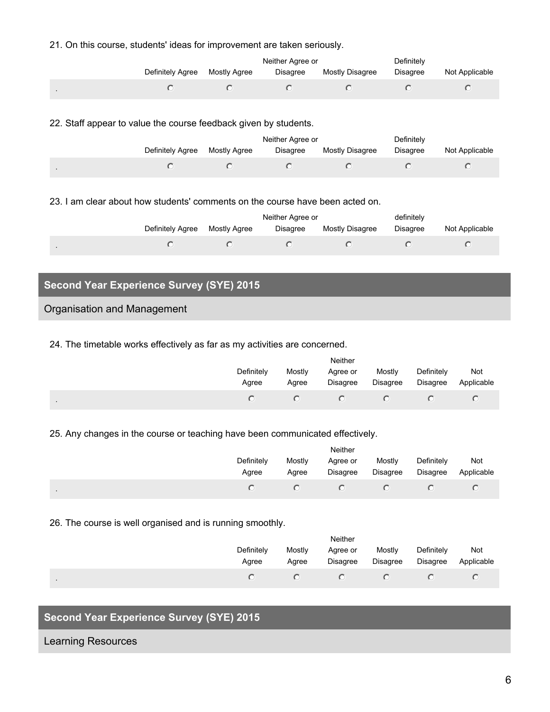#### 21. On this course, students' ideas for improvement are taken seriously.

|                  |              | Neither Agree or | Definitely             |                 |                |
|------------------|--------------|------------------|------------------------|-----------------|----------------|
| Definitely Agree | Mostly Agree | Disagree         | <b>Mostly Disagree</b> | <b>Disagree</b> | Not Applicable |
|                  |              |                  |                        |                 |                |

#### 22. Staff appear to value the course feedback given by students.

|                |                  |              | Neither Agree or | Definitely      |          |                |
|----------------|------------------|--------------|------------------|-----------------|----------|----------------|
|                | Definitely Agree | Mostly Agree | <b>Disagree</b>  | Mostly Disagree | Disagree | Not Applicable |
| $\blacksquare$ |                  |              |                  |                 |          |                |

#### 23. I am clear about how students' comments on the course have been acted on.

|                  |              | Neither Agree or | definitely      |          |                |
|------------------|--------------|------------------|-----------------|----------|----------------|
| Definitely Agree | Mostly Agree | Disagree         | Mostly Disagree | Disagree | Not Applicable |
|                  |              |                  |                 |          |                |

# **Second Year Experience Survey (SYE) 2015**

### Organisation and Management

#### 24. The timetable works effectively as far as my activities are concerned.

|                     | Neither         |                      |                           |                               |                   |  |  |  |
|---------------------|-----------------|----------------------|---------------------------|-------------------------------|-------------------|--|--|--|
| Definitely<br>Agree | Mostly<br>Agree | Agree or<br>Disagree | Mostly<br><b>Disagree</b> | Definitely<br><b>Disagree</b> | Not<br>Applicable |  |  |  |
| $\cdot$             |                 |                      |                           |                               |                   |  |  |  |

#### 25. Any changes in the course or teaching have been communicated effectively.

|                | Neither             |                 |                             |                    |                        |                   |  |  |
|----------------|---------------------|-----------------|-----------------------------|--------------------|------------------------|-------------------|--|--|
|                | Definitely<br>Agree | Mostly<br>Agree | Agree or<br><b>Disagree</b> | Mostly<br>Disagree | Definitely<br>Disagree | Not<br>Applicable |  |  |
| $\blacksquare$ |                     |                 |                             |                    |                        |                   |  |  |

#### 26. The course is well organised and is running smoothly.

|                | Neither             |                 |                      |                           |                               |                   |  |
|----------------|---------------------|-----------------|----------------------|---------------------------|-------------------------------|-------------------|--|
|                | Definitely<br>Agree | Mostly<br>Agree | Agree or<br>Disagree | Mostly<br><b>Disagree</b> | Definitely<br><b>Disagree</b> | Not<br>Applicable |  |
| $\blacksquare$ |                     |                 |                      |                           |                               |                   |  |

# **Second Year Experience Survey (SYE) 2015**

#### Learning Resources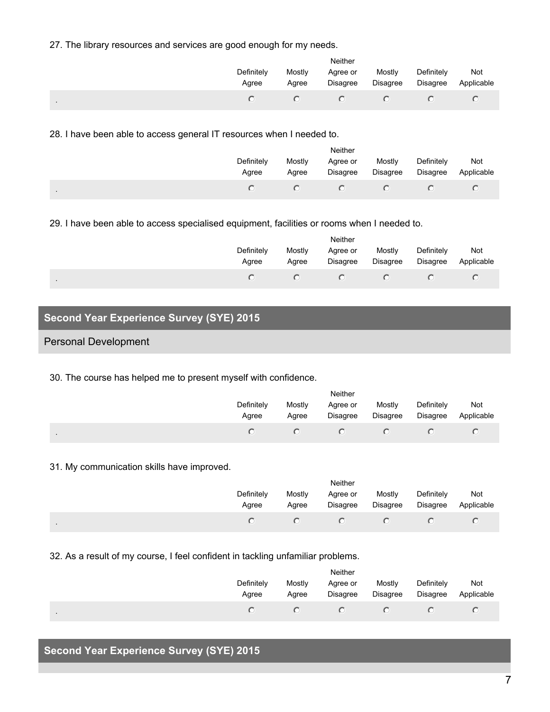27. The library resources and services are good enough for my needs.

|                     | <b>Neither</b>  |                      |                           |                               |                   |  |  |
|---------------------|-----------------|----------------------|---------------------------|-------------------------------|-------------------|--|--|
| Definitely<br>Agree | Mostly<br>Agree | Agree or<br>Disagree | Mostly<br><b>Disagree</b> | Definitely<br><b>Disagree</b> | Not<br>Applicable |  |  |
| $\cdot$             |                 |                      |                           |                               |                   |  |  |

28. I have been able to access general IT resources when I needed to.

|                | <b>Neither</b>      |                 |                      |                    |                               |                   |  |  |
|----------------|---------------------|-----------------|----------------------|--------------------|-------------------------------|-------------------|--|--|
|                | Definitely<br>Agree | Mostly<br>Agree | Agree or<br>Disagree | Mostly<br>Disagree | Definitely<br><b>Disagree</b> | Not<br>Applicable |  |  |
| $\blacksquare$ |                     |                 |                      |                    |                               |                   |  |  |

29. I have been able to access specialised equipment, facilities or rooms when I needed to.

| Neither             |                 |                      |                           |                               |                   |  |  |
|---------------------|-----------------|----------------------|---------------------------|-------------------------------|-------------------|--|--|
| Definitely<br>Agree | Mostly<br>Agree | Agree or<br>Disagree | Mostly<br><b>Disagree</b> | Definitely<br><b>Disagree</b> | Not<br>Applicable |  |  |
|                     |                 |                      |                           |                               |                   |  |  |

# **Second Year Experience Survey (SYE) 2015**

## Personal Development

.

30. The course has helped me to present myself with confidence.

|                | Neither             |                 |                      |                    |                        |                   |  |  |
|----------------|---------------------|-----------------|----------------------|--------------------|------------------------|-------------------|--|--|
|                | Definitely<br>Agree | Mostly<br>Agree | Agree or<br>Disagree | Mostly<br>Disagree | Definitely<br>Disagree | Not<br>Applicable |  |  |
| $\blacksquare$ |                     |                 |                      |                    |                        |                   |  |  |

#### 31. My communication skills have improved.

| Neither             |                 |                      |                    |                        |                   |  |  |
|---------------------|-----------------|----------------------|--------------------|------------------------|-------------------|--|--|
| Definitely<br>Agree | Mostly<br>Agree | Agree or<br>Disagree | Mostly<br>Disagree | Definitely<br>Disagree | Not<br>Applicable |  |  |
|                     |                 | $\left($ $\right)$   |                    |                        |                   |  |  |

32. As a result of my course, I feel confident in tackling unfamiliar problems.

|           | Neither             |                 |                      |                    |                               |                   |  |  |
|-----------|---------------------|-----------------|----------------------|--------------------|-------------------------------|-------------------|--|--|
|           | Definitely<br>Agree | Mostly<br>Agree | Agree or<br>Disagree | Mostly<br>Disagree | Definitely<br><b>Disagree</b> | Not<br>Applicable |  |  |
| $\bullet$ |                     |                 |                      |                    |                               |                   |  |  |

# **Second Year Experience Survey (SYE) 2015**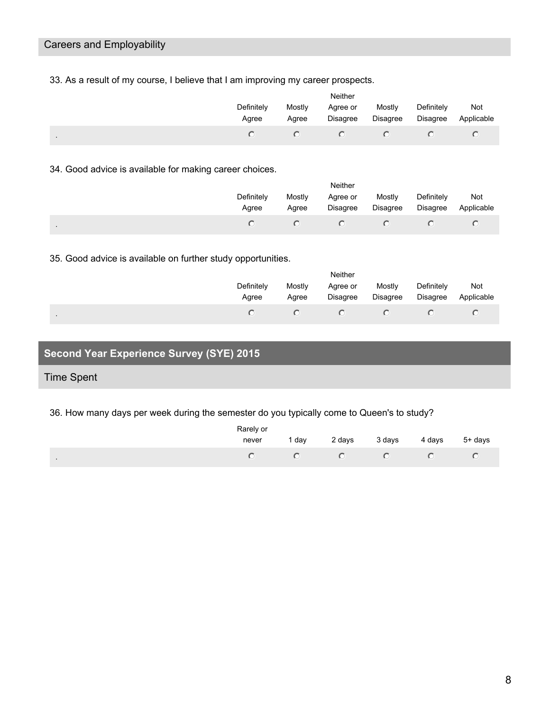# Careers and Employability

33. As a result of my course, I believe that I am improving my career prospects.

|           | Neither             |                 |                             |                           |                               |                   |  |  |
|-----------|---------------------|-----------------|-----------------------------|---------------------------|-------------------------------|-------------------|--|--|
|           | Definitely<br>Agree | Mostly<br>Agree | Agree or<br><b>Disagree</b> | Mostly<br><b>Disagree</b> | Definitely<br><b>Disagree</b> | Not<br>Applicable |  |  |
| $\bullet$ |                     |                 |                             |                           |                               |                   |  |  |

34. Good advice is available for making career choices.

|         | <b>Neither</b>      |                 |                      |                           |                        |                   |  |  |
|---------|---------------------|-----------------|----------------------|---------------------------|------------------------|-------------------|--|--|
|         | Definitely<br>Agree | Mostly<br>Agree | Agree or<br>Disagree | Mostly<br><b>Disagree</b> | Definitely<br>Disagree | Not<br>Applicable |  |  |
| $\cdot$ |                     |                 |                      |                           |                        |                   |  |  |

35. Good advice is available on further study opportunities.

|                | Neither             |                 |                      |                    |                        |                   |  |  |
|----------------|---------------------|-----------------|----------------------|--------------------|------------------------|-------------------|--|--|
|                | Definitely<br>Agree | Mostly<br>Agree | Agree or<br>Disagree | Mostly<br>Disagree | Definitely<br>Disagree | Not<br>Applicable |  |  |
| $\blacksquare$ |                     |                 |                      |                    |                        |                   |  |  |

# **Second Year Experience Survey (SYE) 2015**

## Time Spent

36. How many days per week during the semester do you typically come to Queen's to study?

|                | Rarely or |     |        |        |                |
|----------------|-----------|-----|--------|--------|----------------|
|                | never     | dav | 2 days | 3 days | 4 days 5+ days |
| $\blacksquare$ |           |     |        |        |                |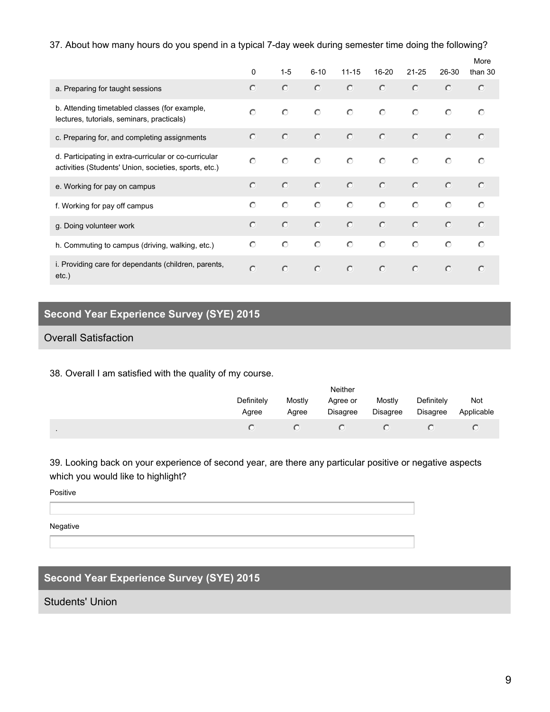### 37. About how many hours do you spend in a typical 7-day week during semester time doing the following?

|                                                                                                                | $\Omega$   | $1 - 5$    | $6 - 10$   | $11 - 15$ | $16 - 20$ | $21 - 25$  | 26-30     | More<br>than 30 |
|----------------------------------------------------------------------------------------------------------------|------------|------------|------------|-----------|-----------|------------|-----------|-----------------|
| a. Preparing for taught sessions                                                                               | $\circ$    | $\circ$    | $\circ$    | $\circ$   | $\circ$   | $\circ$    | $\circ$   | $\circ$         |
| b. Attending timetabled classes (for example,<br>lectures, tutorials, seminars, practicals)                    | $\bigcap$  | $\circ$    | $\circ$    | $\circ$   | $\circ$   | $\circ$    | $\circ$   | $\circ$         |
| c. Preparing for, and completing assignments                                                                   | $\circ$    | $\circ$    | $\circ$    | $\circ$   | $\circ$   | $\circ$    | $\circ$   | $\circ$         |
| d. Participating in extra-curricular or co-curricular<br>activities (Students' Union, societies, sports, etc.) | $\circ$    | $\circ$    | $\bigcirc$ | $\circ$   | $\circ$   | $\circ$    | $\circ$   | $\circ$         |
| e. Working for pay on campus                                                                                   | $\bigcap$  | $\circ$    | $\circ$    | $\circ$   | $\circ$   | $\circ$    | $\circ$   | $\bigcirc$      |
| f. Working for pay off campus                                                                                  | $\bigcap$  | $\circ$    | $\circ$    | $\circ$   | $\circ$   | $\circ$    | $\circ$   | $\bigcap$       |
| g. Doing volunteer work                                                                                        | $\bigcap$  | $\circ$    | $\circ$    | $\circ$   | $\circ$   | $\circ$    | $\circ$   | $\circ$         |
| h. Commuting to campus (driving, walking, etc.)                                                                | $\bigcirc$ | $\bigcirc$ | $\bigcap$  | $\bigcap$ | $\circ$   | $\bigcirc$ | $\bigcap$ | $\bigcap$       |
| i. Providing care for dependants (children, parents,<br>$etc.$ )                                               | $\circ$    | $\circ$    | $\circ$    | $\circ$   | $\circ$   | $\circ$    | $\circ$   | $\bigcirc$      |

# **Second Year Experience Survey (SYE) 2015**

## Overall Satisfaction

38. Overall I am satisfied with the quality of my course.

|                | <b>Neither</b>      |                 |                      |                    |                               |                   |  |
|----------------|---------------------|-----------------|----------------------|--------------------|-------------------------------|-------------------|--|
|                | Definitely<br>Agree | Mostly<br>Agree | Agree or<br>Disagree | Mostly<br>Disagree | Definitely<br><b>Disagree</b> | Not<br>Applicable |  |
| $\blacksquare$ |                     |                 | $\left($ $\right)$   |                    |                               |                   |  |

39. Looking back on your experience of second year, are there any particular positive or negative aspects which you would like to highlight?

Positive

Negative

# **Second Year Experience Survey (SYE) 2015**

Students' Union